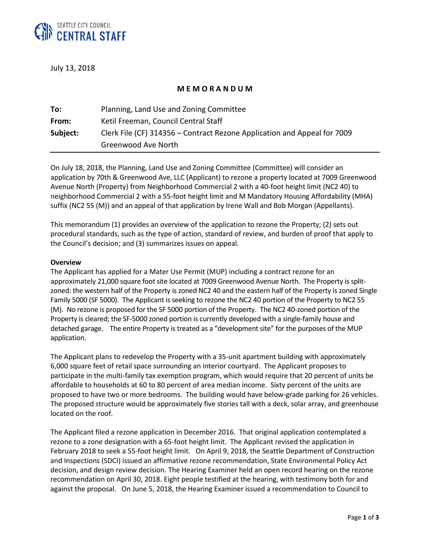

July 13, 2018

# **M E M O R A N D U M**

| To:      | Planning, Land Use and Zoning Committee                                  |
|----------|--------------------------------------------------------------------------|
| From:    | Ketil Freeman, Council Central Staff                                     |
| Subject: | Clerk File (CF) 314356 – Contract Rezone Application and Appeal for 7009 |
|          | Greenwood Ave North                                                      |

On July 18, 2018, the Planning, Land Use and Zoning Committee (Committee) will consider an application by 70th & Greenwood Ave, LLC (Applicant) to rezone a property located at 7009 Greenwood Avenue North (Property) from Neighborhood Commercial 2 with a 40-foot height limit (NC2 40) to neighborhood Commercial 2 with a 55-foot height limit and M Mandatory Housing Affordability (MHA) suffix (NC2 55 (M)) and an appeal of that application by Irene Wall and Bob Morgan (Appellants).

This memorandum (1) provides an overview of the application to rezone the Property; (2) sets out procedural standards, such as the type of action, standard of review, and burden of proof that apply to the Council's decision; and (3) summarizes issues on appeal.

#### **Overview**

The Applicant has applied for a Mater Use Permit (MUP) including a contract rezone for an approximately 21,000 square foot site located at 7009 Greenwood Avenue North. The Property is splitzoned: the western half of the Property is zoned NC2 40 and the eastern half of the Property is zoned Single Family 5000 (SF 5000). The Applicant is seeking to rezone the NC2 40 portion of the Property to NC2 55 (M). No rezone is proposed for the SF 5000 portion of the Property. The NC2 40-zoned portion of the Property is cleared; the SF-5000 zoned portion is currently developed with a single-family house and detached garage. The entire Property is treated as a "development site" for the purposes of the MUP application.

The Applicant plans to redevelop the Property with a 35-unit apartment building with approximately 6,000 square feet of retail space surrounding an interior courtyard. The Applicant proposes to participate in the multi-family tax exemption program, which would require that 20 percent of units be affordable to households at 60 to 80 percent of area median income. Sixty percent of the units are proposed to have two or more bedrooms. The building would have below-grade parking for 26 vehicles. The proposed structure would be approximately five stories tall with a deck, solar array, and greenhouse located on the roof.

The Applicant filed a rezone application in December 2016. That original application contemplated a rezone to a zone designation with a 65-foot height limit. The Applicant revised the application in February 2018 to seek a 55-foot height limit. On April 9, 2018, the Seattle Department of Construction and Inspections (SDCI) issued an affirmative rezone recommendation, State Environmental Policy Act decision, and design review decision. The Hearing Examiner held an open record hearing on the rezone recommendation on April 30, 2018. Eight people testified at the hearing, with testimony both for and against the proposal. On June 5, 2018, the Hearing Examiner issued a recommendation to Council to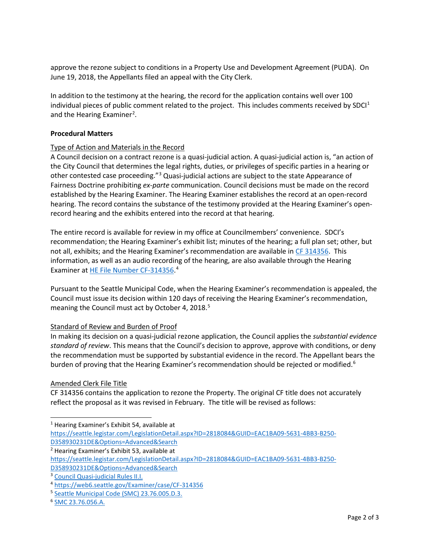approve the rezone subject to conditions in a Property Use and Development Agreement (PUDA). On June 19, 2018, the Appellants filed an appeal with the City Clerk.

In addition to the testimony at the hearing, the record for the application contains well over 100 individual pieces of public comment related to the project. This includes comments received by SDC $I^1$  $I^1$ and the Hearing Examiner<sup>[2](#page-1-1)</sup>.

## **Procedural Matters**

### Type of Action and Materials in the Record

A Council decision on a contract rezone is a quasi-judicial action. A quasi-judicial action is, "an action of the City Council that determines the legal rights, duties, or privileges of specific parties in a hearing or other contested case proceeding."[3](#page-1-2) Quasi-judicial actions are subject to the state Appearance of Fairness Doctrine prohibiting *ex-parte* communication. Council decisions must be made on the record established by the Hearing Examiner. The Hearing Examiner establishes the record at an open-record hearing. The record contains the substance of the testimony provided at the Hearing Examiner's openrecord hearing and the exhibits entered into the record at that hearing.

The entire record is available for review in my office at Councilmembers' convenience. SDCI's recommendation; the Hearing Examiner's exhibit list; minutes of the hearing; a full plan set; other, but not all, exhibits; and the Hearing Examiner's recommendation are available in [CF 314356.](https://seattle.legistar.com/LegislationDetail.aspx?ID=2818084&GUID=EAC1BA09-5631-4BB3-B250-D358930231DE&Options=Advanced&Search=) This information, as well as an audio recording of the hearing, are also available through the Hearing Examiner a[t HE File Number CF-314356.](https://web6.seattle.gov/Examiner/case/CF-314356)<sup>[4](#page-1-3)</sup>

Pursuant to the Seattle Municipal Code, when the Hearing Examiner's recommendation is appealed, the Council must issue its decision within 120 days of receiving the Hearing Examiner's recommendation, meaning the Council must act by October 4, 2018.<sup>[5](#page-1-4)</sup>

#### Standard of Review and Burden of Proof

In making its decision on a quasi-judicial rezone application, the Council applies the *substantial evidence standard of review*. This means that the Council's decision to approve, approve with conditions, or deny the recommendation must be supported by substantial evidence in the record. The Appellant bears the burden of proving that the Hearing Examiner's recommendation should be rejected or modified.<sup>[6](#page-1-5)</sup>

#### Amended Clerk File Title

CF 314356 contains the application to rezone the Property. The original CF title does not accurately reflect the proposal as it was revised in February. The title will be revised as follows:

<span id="page-1-0"></span><sup>1</sup> Hearing Examiner's Exhibit 54, available at [https://seattle.legistar.com/LegislationDetail.aspx?ID=2818084&GUID=EAC1BA09-5631-4BB3-B250-](https://seattle.legistar.com/LegislationDetail.aspx?ID=2818084&GUID=EAC1BA09-5631-4BB3-B250-D358930231DE&Options=Advanced&Search) [D358930231DE&Options=Advanced&Search](https://seattle.legistar.com/LegislationDetail.aspx?ID=2818084&GUID=EAC1BA09-5631-4BB3-B250-D358930231DE&Options=Advanced&Search) <sup>2</sup> Hearing Examiner's Exhibit 53, available at

 $\overline{a}$ 

<span id="page-1-1"></span>[https://seattle.legistar.com/LegislationDetail.aspx?ID=2818084&GUID=EAC1BA09-5631-4BB3-B250-](https://seattle.legistar.com/LegislationDetail.aspx?ID=2818084&GUID=EAC1BA09-5631-4BB3-B250-D358930231DE&Options=Advanced&Search) [D358930231DE&Options=Advanced&Search](https://seattle.legistar.com/LegislationDetail.aspx?ID=2818084&GUID=EAC1BA09-5631-4BB3-B250-D358930231DE&Options=Advanced&Search)

<span id="page-1-2"></span><sup>3</sup> [Council Quasi-judicial Rules II.I.](http://seattle.legistar.com/View.ashx?M=F&ID=3867374&GUID=DBAC5ADE-1CDE-4453-8CB6-D6D89BB4A800)

<span id="page-1-3"></span><sup>4</sup> <https://web6.seattle.gov/Examiner/case/CF-314356>

<span id="page-1-4"></span><sup>5</sup> [Seattle Municipal Code \(SMC\)](https://library.municode.com/wa/seattle/codes/municipal_code?nodeId=TIT23LAUSCO_SUBTITLE_IVAD_CH23.76PRMAUSPECOLAUSDE_SUBCHAPTER_IGEPR_23.76.005TIDE) 23.76.005.D.3.

<span id="page-1-5"></span><sup>6</sup> [SMC 23.76.056.A.](https://library.municode.com/wa/seattle/codes/municipal_code?nodeId=TIT23LAUSCO_SUBTITLE_IVAD_CH23.76PRMAUSPECOLAUSDE_SUBCHAPTER_IIICOLAUSDE_23.76.056CODEHEEXRETYIVCOLAUSDE)